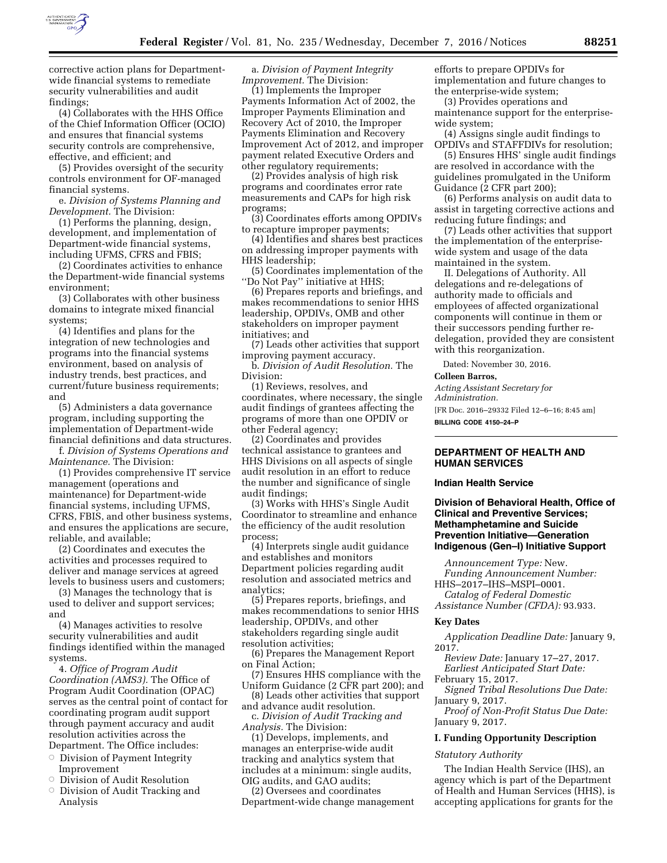

corrective action plans for Departmentwide financial systems to remediate security vulnerabilities and audit findings;

(4) Collaborates with the HHS Office of the Chief Information Officer (OCIO) and ensures that financial systems security controls are comprehensive, effective, and efficient; and

(5) Provides oversight of the security controls environment for OF-managed financial systems.

e. *Division of Systems Planning and Development.* The Division:

(1) Performs the planning, design, development, and implementation of Department-wide financial systems, including UFMS, CFRS and FBIS;

(2) Coordinates activities to enhance the Department-wide financial systems environment;

(3) Collaborates with other business domains to integrate mixed financial systems;

(4) Identifies and plans for the integration of new technologies and programs into the financial systems environment, based on analysis of industry trends, best practices, and current/future business requirements; and

(5) Administers a data governance program, including supporting the implementation of Department-wide financial definitions and data structures.

f. *Division of Systems Operations and Maintenance.* The Division:

(1) Provides comprehensive IT service management (operations and maintenance) for Department-wide financial systems, including UFMS, CFRS, FBIS, and other business systems, and ensures the applications are secure, reliable, and available;

(2) Coordinates and executes the activities and processes required to deliver and manage services at agreed levels to business users and customers;

(3) Manages the technology that is used to deliver and support services; and

(4) Manages activities to resolve security vulnerabilities and audit findings identified within the managed systems.

4. *Office of Program Audit Coordination (AMS3).* The Office of Program Audit Coordination (OPAC) serves as the central point of contact for coordinating program audit support through payment accuracy and audit resolution activities across the Department. The Office includes:

- $\circ$  Division of Payment Integrity Improvement
- $\circ$  Division of Audit Resolution
- $\circ$  Division of Audit Tracking and Analysis

a. *Division of Payment Integrity Improvement.* The Division:

(1) Implements the Improper Payments Information Act of 2002, the Improper Payments Elimination and Recovery Act of 2010, the Improper Payments Elimination and Recovery Improvement Act of 2012, and improper payment related Executive Orders and other regulatory requirements;

(2) Provides analysis of high risk programs and coordinates error rate measurements and CAPs for high risk programs;

(3) Coordinates efforts among OPDIVs to recapture improper payments;

(4) Identifies and shares best practices on addressing improper payments with HHS leadership;

(5) Coordinates implementation of the ''Do Not Pay'' initiative at HHS;

(6) Prepares reports and briefings, and makes recommendations to senior HHS leadership, OPDIVs, OMB and other stakeholders on improper payment initiatives; and

(7) Leads other activities that support improving payment accuracy.

b. *Division of Audit Resolution.* The Division:

(1) Reviews, resolves, and coordinates, where necessary, the single audit findings of grantees affecting the programs of more than one OPDIV or other Federal agency;

(2) Coordinates and provides technical assistance to grantees and HHS Divisions on all aspects of single audit resolution in an effort to reduce the number and significance of single audit findings;

(3) Works with HHS's Single Audit Coordinator to streamline and enhance the efficiency of the audit resolution process;

(4) Interprets single audit guidance and establishes and monitors Department policies regarding audit resolution and associated metrics and analytics;

(5) Prepares reports, briefings, and makes recommendations to senior HHS leadership, OPDIVs, and other stakeholders regarding single audit resolution activities;

(6) Prepares the Management Report on Final Action;

(7) Ensures HHS compliance with the Uniform Guidance (2 CFR part 200); and (8) Leads other activities that support

and advance audit resolution.

c. *Division of Audit Tracking and Analysis.* The Division:

(1) Develops, implements, and manages an enterprise-wide audit tracking and analytics system that includes at a minimum: single audits, OIG audits, and GAO audits;

(2) Oversees and coordinates Department-wide change management efforts to prepare OPDIVs for implementation and future changes to the enterprise-wide system;

(3) Provides operations and maintenance support for the enterprisewide system;

(4) Assigns single audit findings to OPDIVs and STAFFDIVs for resolution;

(5) Ensures HHS' single audit findings are resolved in accordance with the guidelines promulgated in the Uniform Guidance (2 CFR part 200);

(6) Performs analysis on audit data to assist in targeting corrective actions and reducing future findings; and

(7) Leads other activities that support the implementation of the enterprisewide system and usage of the data maintained in the system.

II. Delegations of Authority. All delegations and re-delegations of authority made to officials and employees of affected organizational components will continue in them or their successors pending further redelegation, provided they are consistent with this reorganization.

Dated: November 30, 2016.

#### **Colleen Barros,**

*Acting Assistant Secretary for Administration.*  [FR Doc. 2016–29332 Filed 12–6–16; 8:45 am]

**BILLING CODE 4150–24–P** 

## **DEPARTMENT OF HEALTH AND HUMAN SERVICES**

### **Indian Health Service**

## **Division of Behavioral Health, Office of Clinical and Preventive Services; Methamphetamine and Suicide Prevention Initiative—Generation Indigenous (Gen–I) Initiative Support**

*Announcement Type:* New. *Funding Announcement Number:* 

HHS–2017–IHS–MSPI–0001. *Catalog of Federal Domestic* 

*Assistance Number (CFDA):* 93.933.

#### **Key Dates**

*Application Deadline Date:* January 9, 2017.

*Review Date:* January 17–27, 2017. *Earliest Anticipated Start Date:* 

February 15, 2017.

*Signed Tribal Resolutions Due Date:*  January 9, 2017.

*Proof of Non-Profit Status Due Date:*  January 9, 2017.

#### **I. Funding Opportunity Description**

### *Statutory Authority*

The Indian Health Service (IHS), an agency which is part of the Department of Health and Human Services (HHS), is accepting applications for grants for the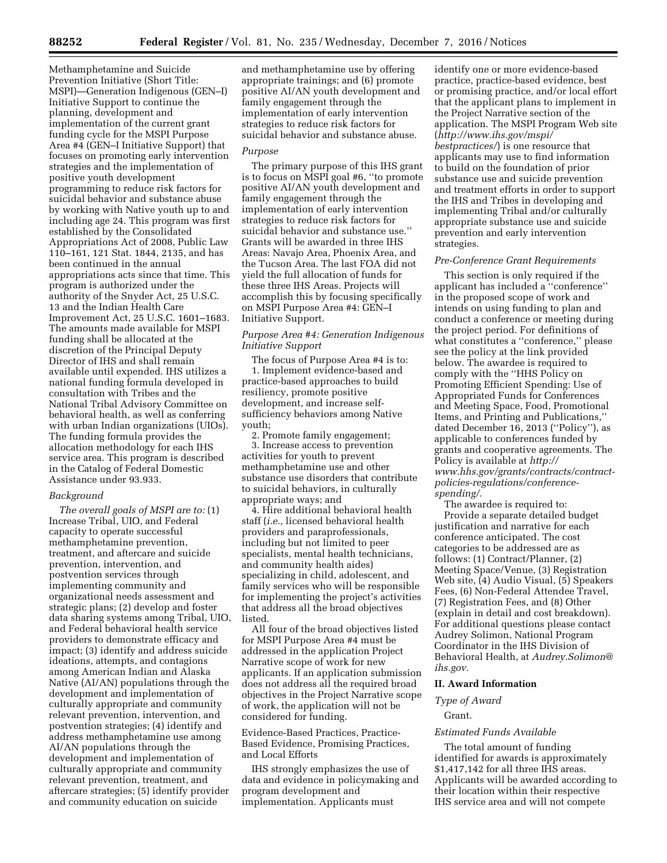Methamphetamine and Suicide Prevention Initiative (Short Title: MSPI)—Generation Indigenous (GEN–I) Initiative Support to continue the planning, development and implementation of the current grant funding cycle for the MSPI Purpose Area #4 (GEN–I Initiative Support) that focuses on promoting early intervention strategies and the implementation of positive youth development programming to reduce risk factors for suicidal behavior and substance abuse by working with Native youth up to and including age 24. This program was first established by the Consolidated Appropriations Act of 2008, Public Law 110–161, 121 Stat. 1844, 2135, and has been continued in the annual appropriations acts since that time. This program is authorized under the authority of the Snyder Act, 25 U.S.C. 13 and the Indian Health Care Improvement Act, 25 U.S.C. 1601–1683. The amounts made available for MSPI funding shall be allocated at the discretion of the Principal Deputy Director of IHS and shall remain available until expended. IHS utilizes a national funding formula developed in consultation with Tribes and the National Tribal Advisory Committee on behavioral health, as well as conferring with urban Indian organizations (UIOs). The funding formula provides the allocation methodology for each IHS service area. This program is described in the Catalog of Federal Domestic Assistance under 93.933.

### *Background*

*The overall goals of MSPI are to:* (1) Increase Tribal, UIO, and Federal capacity to operate successful methamphetamine prevention, treatment, and aftercare and suicide prevention, intervention, and postvention services through implementing community and organizational needs assessment and strategic plans; (2) develop and foster data sharing systems among Tribal, UIO, and Federal behavioral health service providers to demonstrate efficacy and impact; (3) identify and address suicide ideations, attempts, and contagions among American Indian and Alaska Native (AI/AN) populations through the development and implementation of culturally appropriate and community relevant prevention, intervention, and postvention strategies; (4) identify and address methamphetamine use among AI/AN populations through the development and implementation of culturally appropriate and community relevant prevention, treatment, and aftercare strategies; (5) identify provider and community education on suicide

and methamphetamine use by offering appropriate trainings; and (6) promote positive AI/AN youth development and family engagement through the implementation of early intervention strategies to reduce risk factors for suicidal behavior and substance abuse.

### *Purpose*

The primary purpose of this IHS grant is to focus on MSPI goal #6, ''to promote positive AI/AN youth development and family engagement through the implementation of early intervention strategies to reduce risk factors for suicidal behavior and substance use.'' Grants will be awarded in three IHS Areas: Navajo Area, Phoenix Area, and the Tucson Area. The last FOA did not yield the full allocation of funds for these three IHS Areas. Projects will accomplish this by focusing specifically on MSPI Purpose Area #4: GEN–I Initiative Support.

## *Purpose Area #4: Generation Indigenous Initiative Support*

The focus of Purpose Area #4 is to: 1. Implement evidence-based and practice-based approaches to build resiliency, promote positive development, and increase selfsufficiency behaviors among Native youth;

2. Promote family engagement; 3. Increase access to prevention activities for youth to prevent methamphetamine use and other substance use disorders that contribute to suicidal behaviors, in culturally appropriate ways; and

4. Hire additional behavioral health staff (*i.e.,* licensed behavioral health providers and paraprofessionals, including but not limited to peer specialists, mental health technicians, and community health aides) specializing in child, adolescent, and family services who will be responsible for implementing the project's activities that address all the broad objectives listed.

All four of the broad objectives listed for MSPI Purpose Area #4 must be addressed in the application Project Narrative scope of work for new applicants. If an application submission does not address all the required broad objectives in the Project Narrative scope of work, the application will not be considered for funding.

Evidence-Based Practices, Practice-Based Evidence, Promising Practices, and Local Efforts

IHS strongly emphasizes the use of data and evidence in policymaking and program development and implementation. Applicants must

identify one or more evidence-based practice, practice-based evidence, best or promising practice, and/or local effort that the applicant plans to implement in the Project Narrative section of the application. The MSPI Program Web site (*[http://www.ihs.gov/mspi/](http://www.ihs.gov/mspi/bestpractices/)  [bestpractices/](http://www.ihs.gov/mspi/bestpractices/)*) is one resource that applicants may use to find information to build on the foundation of prior substance use and suicide prevention and treatment efforts in order to support the IHS and Tribes in developing and implementing Tribal and/or culturally appropriate substance use and suicide prevention and early intervention strategies.

#### *Pre-Conference Grant Requirements*

This section is only required if the applicant has included a ''conference'' in the proposed scope of work and intends on using funding to plan and conduct a conference or meeting during the project period. For definitions of what constitutes a ''conference,'' please see the policy at the link provided below. The awardee is required to comply with the ''HHS Policy on Promoting Efficient Spending: Use of Appropriated Funds for Conferences and Meeting Space, Food, Promotional Items, and Printing and Publications,'' dated December 16, 2013 (''Policy''), as applicable to conferences funded by grants and cooperative agreements. The Policy is available at *[http://](http://www.hhs.gov/grants/contracts/contract-policies-regulations/conference-spending/) [www.hhs.gov/grants/contracts/contract](http://www.hhs.gov/grants/contracts/contract-policies-regulations/conference-spending/)policies-regulations/conferencespending/.* 

The awardee is required to: Provide a separate detailed budget justification and narrative for each conference anticipated. The cost categories to be addressed are as follows: (1) Contract/Planner, (2) Meeting Space/Venue, (3) Registration Web site, (4) Audio Visual, (5) Speakers Fees, (6) Non-Federal Attendee Travel, (7) Registration Fees, and (8) Other (explain in detail and cost breakdown). For additional questions please contact Audrey Solimon, National Program Coordinator in the IHS Division of Behavioral Health, at *[Audrey.Solimon@](mailto:Audrey.Solimon@ihs.gov) [ihs.gov.](mailto:Audrey.Solimon@ihs.gov)* 

#### **II. Award Information**

## *Type of Award*

# Grant.

# *Estimated Funds Available*

The total amount of funding identified for awards is approximately \$1,417,142 for all three IHS areas. Applicants will be awarded according to their location within their respective IHS service area and will not compete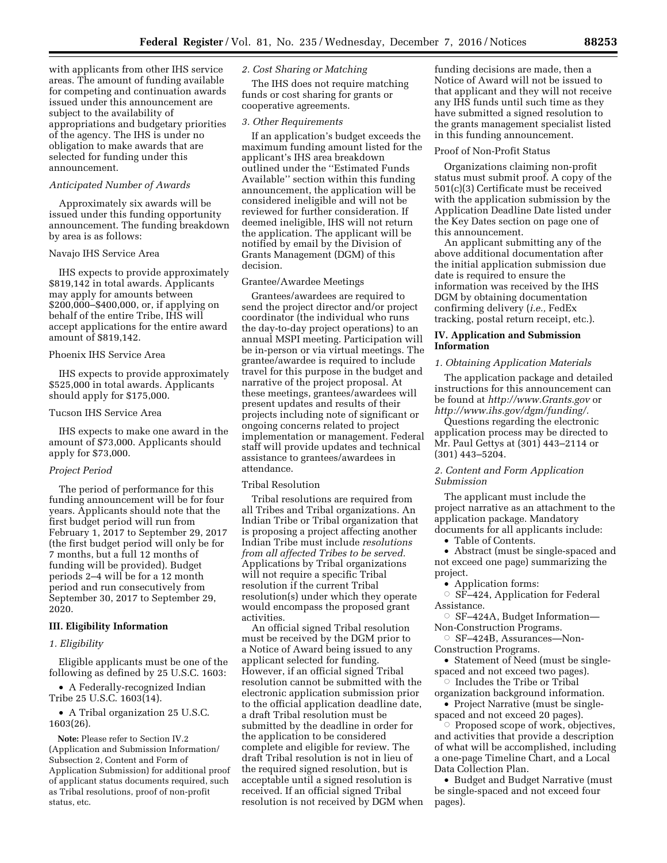with applicants from other IHS service areas. The amount of funding available for competing and continuation awards issued under this announcement are subject to the availability of appropriations and budgetary priorities of the agency. The IHS is under no obligation to make awards that are selected for funding under this announcement.

## *Anticipated Number of Awards*

Approximately six awards will be issued under this funding opportunity announcement. The funding breakdown by area is as follows:

### Navajo IHS Service Area

IHS expects to provide approximately \$819,142 in total awards. Applicants may apply for amounts between \$200,000–\$400,000, or, if applying on behalf of the entire Tribe, IHS will accept applications for the entire award amount of \$819,142.

# Phoenix IHS Service Area

IHS expects to provide approximately \$525,000 in total awards. Applicants should apply for \$175,000.

#### Tucson IHS Service Area

IHS expects to make one award in the amount of \$73,000. Applicants should apply for \$73,000.

#### *Project Period*

The period of performance for this funding announcement will be for four years. Applicants should note that the first budget period will run from February 1, 2017 to September 29, 2017 (the first budget period will only be for 7 months, but a full 12 months of funding will be provided). Budget periods 2–4 will be for a 12 month period and run consecutively from September 30, 2017 to September 29, 2020.

#### **III. Eligibility Information**

#### *1. Eligibility*

Eligible applicants must be one of the following as defined by 25 U.S.C. 1603:

• A Federally-recognized Indian Tribe 25 U.S.C. 1603(14).

• A Tribal organization 25 U.S.C. 1603(26).

**Note:** Please refer to Section IV.2 (Application and Submission Information/ Subsection 2, Content and Form of Application Submission) for additional proof of applicant status documents required, such as Tribal resolutions, proof of non-profit status, etc.

## *2. Cost Sharing or Matching*

The IHS does not require matching funds or cost sharing for grants or cooperative agreements.

#### *3. Other Requirements*

If an application's budget exceeds the maximum funding amount listed for the applicant's IHS area breakdown outlined under the ''Estimated Funds Available'' section within this funding announcement, the application will be considered ineligible and will not be reviewed for further consideration. If deemed ineligible, IHS will not return the application. The applicant will be notified by email by the Division of Grants Management (DGM) of this decision.

## Grantee/Awardee Meetings

Grantees/awardees are required to send the project director and/or project coordinator (the individual who runs the day-to-day project operations) to an annual MSPI meeting. Participation will be in-person or via virtual meetings. The grantee/awardee is required to include travel for this purpose in the budget and narrative of the project proposal. At these meetings, grantees/awardees will present updates and results of their projects including note of significant or ongoing concerns related to project implementation or management. Federal staff will provide updates and technical assistance to grantees/awardees in attendance.

#### Tribal Resolution

Tribal resolutions are required from all Tribes and Tribal organizations. An Indian Tribe or Tribal organization that is proposing a project affecting another Indian Tribe must include *resolutions from all affected Tribes to be served.*  Applications by Tribal organizations will not require a specific Tribal resolution if the current Tribal resolution(s) under which they operate would encompass the proposed grant activities.

An official signed Tribal resolution must be received by the DGM prior to a Notice of Award being issued to any applicant selected for funding. However, if an official signed Tribal resolution cannot be submitted with the electronic application submission prior to the official application deadline date, a draft Tribal resolution must be submitted by the deadline in order for the application to be considered complete and eligible for review. The draft Tribal resolution is not in lieu of the required signed resolution, but is acceptable until a signed resolution is received. If an official signed Tribal resolution is not received by DGM when

funding decisions are made, then a Notice of Award will not be issued to that applicant and they will not receive any IHS funds until such time as they have submitted a signed resolution to the grants management specialist listed in this funding announcement.

#### Proof of Non-Profit Status

Organizations claiming non-profit status must submit proof. A copy of the 501(c)(3) Certificate must be received with the application submission by the Application Deadline Date listed under the Key Dates section on page one of this announcement.

An applicant submitting any of the above additional documentation after the initial application submission due date is required to ensure the information was received by the IHS DGM by obtaining documentation confirming delivery (*i.e.,* FedEx tracking, postal return receipt, etc.).

## **IV. Application and Submission Information**

#### *1. Obtaining Application Materials*

The application package and detailed instructions for this announcement can be found at *<http://www.Grants.gov>*or *[http://www.ihs.gov/dgm/funding/.](http://www.ihs.gov/dgm/funding/)* 

Questions regarding the electronic application process may be directed to Mr. Paul Gettys at (301) 443–2114 or (301) 443–5204.

## *2. Content and Form Application Submission*

The applicant must include the project narrative as an attachment to the application package. Mandatory documents for all applicants include:

• Table of Contents.

• Abstract (must be single-spaced and not exceed one page) summarizing the project.

- Application forms:
- $\circ$  SF-424, Application for Federal Assistance.
- Æ SF–424A, Budget Information— Non-Construction Programs.
- Æ SF–424B, Assurances—Non-Construction Programs.

• Statement of Need (must be singlespaced and not exceed two pages).

 $\circ$  Includes the Tribe or Tribal

organization background information. • Project Narrative (must be single-

spaced and not exceed 20 pages).

 $\circ$  Proposed scope of work, objectives, and activities that provide a description of what will be accomplished, including a one-page Timeline Chart, and a Local Data Collection Plan.

• Budget and Budget Narrative (must be single-spaced and not exceed four pages).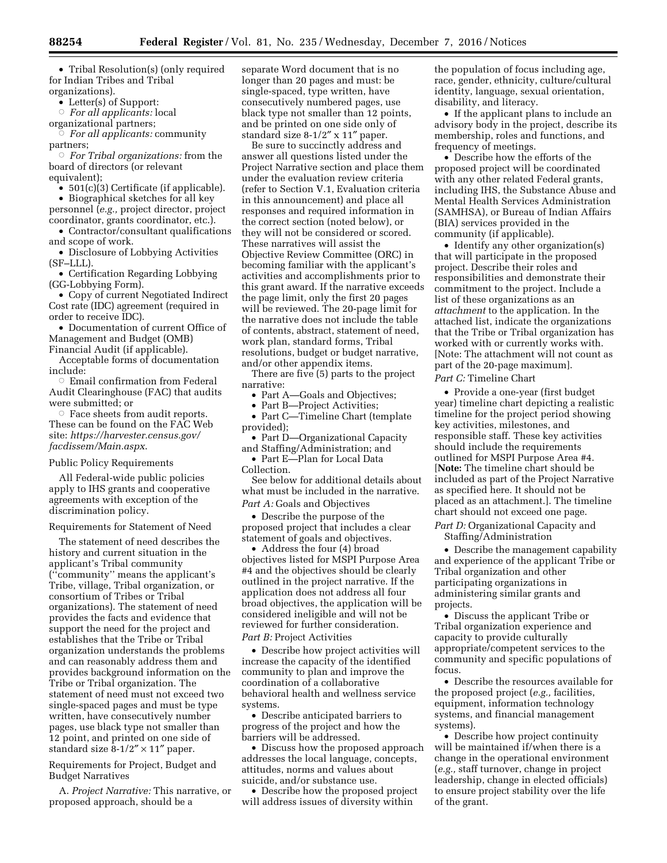• Tribal Resolution(s) (only required for Indian Tribes and Tribal organizations).

• Letter(s) of Support:

Æ *For all applicants:* local

organizational partners;

Æ *For all applicants:* community partners;

Æ *For Tribal organizations:* from the board of directors (or relevant equivalent);

• 501(c)(3) Certificate (if applicable).

• Biographical sketches for all key personnel (*e.g.,* project director, project coordinator, grants coordinator, etc.).

• Contractor/consultant qualifications and scope of work.

• Disclosure of Lobbying Activities (SF–LLL).

• Certification Regarding Lobbying (GG-Lobbying Form).

• Copy of current Negotiated Indirect Cost rate (IDC) agreement (required in order to receive IDC).

• Documentation of current Office of Management and Budget (OMB) Financial Audit (if applicable).

Acceptable forms of documentation include:

 $\circ$  Email confirmation from Federal Audit Clearinghouse (FAC) that audits were submitted; or

 $\circ$  Face sheets from audit reports. These can be found on the FAC Web site: *[https://harvester.census.gov/](https://harvester.census.gov/facdissem/Main.aspx)  [facdissem/Main.aspx](https://harvester.census.gov/facdissem/Main.aspx)*.

Public Policy Requirements

All Federal-wide public policies apply to IHS grants and cooperative agreements with exception of the discrimination policy.

### Requirements for Statement of Need

The statement of need describes the history and current situation in the applicant's Tribal community (''community'' means the applicant's Tribe, village, Tribal organization, or consortium of Tribes or Tribal organizations). The statement of need provides the facts and evidence that support the need for the project and establishes that the Tribe or Tribal organization understands the problems and can reasonably address them and provides background information on the Tribe or Tribal organization. The statement of need must not exceed two single-spaced pages and must be type written, have consecutively number pages, use black type not smaller than 12 point, and printed on one side of standard size  $8-1/2'' \times 11''$  paper.

Requirements for Project, Budget and Budget Narratives

A. *Project Narrative:* This narrative, or proposed approach, should be a

separate Word document that is no longer than 20 pages and must: be single-spaced, type written, have consecutively numbered pages, use black type not smaller than 12 points, and be printed on one side only of standard size 8-1/2″ x 11″ paper.

Be sure to succinctly address and answer all questions listed under the Project Narrative section and place them under the evaluation review criteria (refer to Section V.1, Evaluation criteria in this announcement) and place all responses and required information in the correct section (noted below), or they will not be considered or scored. These narratives will assist the Objective Review Committee (ORC) in becoming familiar with the applicant's activities and accomplishments prior to this grant award. If the narrative exceeds the page limit, only the first 20 pages will be reviewed. The 20-page limit for the narrative does not include the table of contents, abstract, statement of need, work plan, standard forms, Tribal resolutions, budget or budget narrative, and/or other appendix items.

There are five (5) parts to the project narrative:

• Part A—Goals and Objectives;

Part B-Project Activities;

• Part C—Timeline Chart (template provided);

• Part D—Organizational Capacity and Staffing/Administration; and

• Part E—Plan for Local Data Collection.

See below for additional details about what must be included in the narrative. *Part A:* Goals and Objectives

• Describe the purpose of the proposed project that includes a clear statement of goals and objectives.

• Address the four (4) broad objectives listed for MSPI Purpose Area #4 and the objectives should be clearly outlined in the project narrative. If the application does not address all four broad objectives, the application will be considered ineligible and will not be reviewed for further consideration. *Part B:* Project Activities

• Describe how project activities will increase the capacity of the identified community to plan and improve the coordination of a collaborative behavioral health and wellness service systems.

• Describe anticipated barriers to progress of the project and how the barriers will be addressed.

• Discuss how the proposed approach addresses the local language, concepts, attitudes, norms and values about suicide, and/or substance use.

• Describe how the proposed project will address issues of diversity within

the population of focus including age, race, gender, ethnicity, culture/cultural identity, language, sexual orientation, disability, and literacy.

• If the applicant plans to include an advisory body in the project, describe its membership, roles and functions, and frequency of meetings.

• Describe how the efforts of the proposed project will be coordinated with any other related Federal grants, including IHS, the Substance Abuse and Mental Health Services Administration (SAMHSA), or Bureau of Indian Affairs (BIA) services provided in the community (if applicable).

• Identify any other organization(s) that will participate in the proposed project. Describe their roles and responsibilities and demonstrate their commitment to the project. Include a list of these organizations as an *attachment* to the application. In the attached list, indicate the organizations that the Tribe or Tribal organization has worked with or currently works with. [Note: The attachment will not count as part of the 20-page maximum]. *Part C:* Timeline Chart

• Provide a one-year (first budget year) timeline chart depicting a realistic timeline for the project period showing key activities, milestones, and responsible staff. These key activities should include the requirements outlined for MSPI Purpose Area #4. [**Note:** The timeline chart should be included as part of the Project Narrative as specified here. It should not be placed as an attachment.]. The timeline chart should not exceed one page.

*Part D:* Organizational Capacity and Staffing/Administration

• Describe the management capability and experience of the applicant Tribe or Tribal organization and other participating organizations in administering similar grants and projects.

• Discuss the applicant Tribe or Tribal organization experience and capacity to provide culturally appropriate/competent services to the community and specific populations of focus.

• Describe the resources available for the proposed project (*e.g.,* facilities, equipment, information technology systems, and financial management systems).

• Describe how project continuity will be maintained if/when there is a change in the operational environment (*e.g.,* staff turnover, change in project leadership, change in elected officials) to ensure project stability over the life of the grant.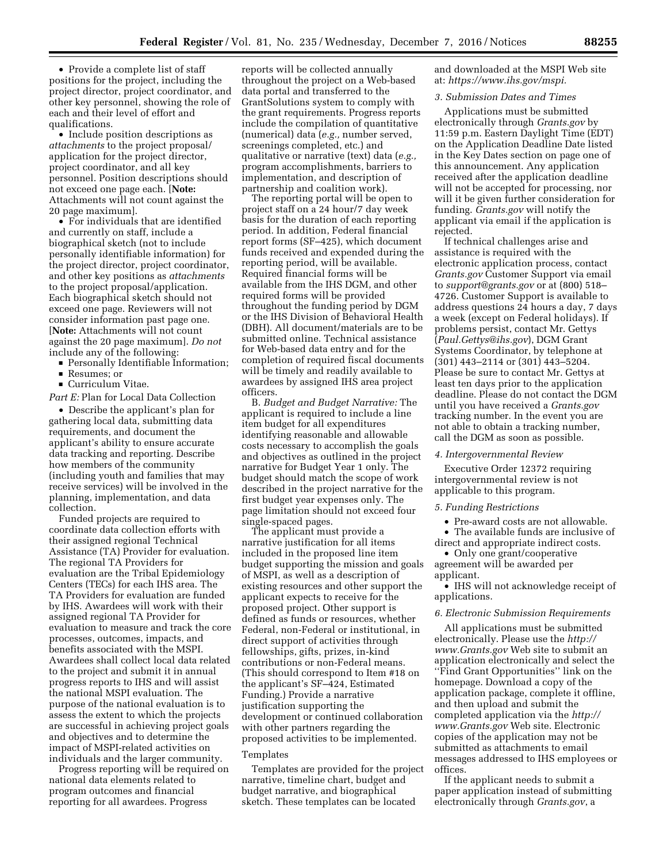• Provide a complete list of staff positions for the project, including the project director, project coordinator, and other key personnel, showing the role of each and their level of effort and qualifications.

• Include position descriptions as *attachments* to the project proposal/ application for the project director, project coordinator, and all key personnel. Position descriptions should not exceed one page each. [**Note:**  Attachments will not count against the 20 page maximum].

• For individuals that are identified and currently on staff, include a biographical sketch (not to include personally identifiable information) for the project director, project coordinator, and other key positions as *attachments*  to the project proposal/application. Each biographical sketch should not exceed one page. Reviewers will not consider information past page one. [**Note:** Attachments will not count against the 20 page maximum]. *Do not*  include any of the following:

**Personally Identifiable Information;** 

■ Resumes; or

**Curriculum Vitae.** 

*Part E:* Plan for Local Data Collection

• Describe the applicant's plan for gathering local data, submitting data requirements, and document the applicant's ability to ensure accurate data tracking and reporting. Describe how members of the community (including youth and families that may receive services) will be involved in the planning, implementation, and data collection.

Funded projects are required to coordinate data collection efforts with their assigned regional Technical Assistance (TA) Provider for evaluation. The regional TA Providers for evaluation are the Tribal Epidemiology Centers (TECs) for each IHS area. The TA Providers for evaluation are funded by IHS. Awardees will work with their assigned regional TA Provider for evaluation to measure and track the core processes, outcomes, impacts, and benefits associated with the MSPI. Awardees shall collect local data related to the project and submit it in annual progress reports to IHS and will assist the national MSPI evaluation. The purpose of the national evaluation is to assess the extent to which the projects are successful in achieving project goals and objectives and to determine the impact of MSPI-related activities on individuals and the larger community.

Progress reporting will be required on national data elements related to program outcomes and financial reporting for all awardees. Progress

reports will be collected annually throughout the project on a Web-based data portal and transferred to the GrantSolutions system to comply with the grant requirements. Progress reports include the compilation of quantitative (numerical) data (*e.g.,* number served, screenings completed, etc.) and qualitative or narrative (text) data (*e.g.,*  program accomplishments, barriers to implementation, and description of partnership and coalition work).

The reporting portal will be open to project staff on a 24 hour/7 day week basis for the duration of each reporting period. In addition, Federal financial report forms (SF–425), which document funds received and expended during the reporting period, will be available. Required financial forms will be available from the IHS DGM, and other required forms will be provided throughout the funding period by DGM or the IHS Division of Behavioral Health (DBH). All document/materials are to be submitted online. Technical assistance for Web-based data entry and for the completion of required fiscal documents will be timely and readily available to awardees by assigned IHS area project officers.

B. *Budget and Budget Narrative:* The applicant is required to include a line item budget for all expenditures identifying reasonable and allowable costs necessary to accomplish the goals and objectives as outlined in the project narrative for Budget Year 1 only. The budget should match the scope of work described in the project narrative for the first budget year expenses only. The page limitation should not exceed four single-spaced pages.

The applicant must provide a narrative justification for all items included in the proposed line item budget supporting the mission and goals of MSPI, as well as a description of existing resources and other support the applicant expects to receive for the proposed project. Other support is defined as funds or resources, whether Federal, non-Federal or institutional, in direct support of activities through fellowships, gifts, prizes, in-kind contributions or non-Federal means. (This should correspond to Item #18 on the applicant's SF–424, Estimated Funding.) Provide a narrative justification supporting the development or continued collaboration with other partners regarding the proposed activities to be implemented.

### Templates

Templates are provided for the project narrative, timeline chart, budget and budget narrative, and biographical sketch. These templates can be located

and downloaded at the MSPI Web site at: *[https://www.ihs.gov/mspi.](https://www.ihs.gov/mspi)* 

## *3. Submission Dates and Times*

Applications must be submitted electronically through *Grants.gov* by 11:59 p.m. Eastern Daylight Time (EDT) on the Application Deadline Date listed in the Key Dates section on page one of this announcement. Any application received after the application deadline will not be accepted for processing, nor will it be given further consideration for funding. *Grants.gov* will notify the applicant via email if the application is rejected.

If technical challenges arise and assistance is required with the electronic application process, contact *Grants.gov* Customer Support via email to *[support@grants.gov](mailto:support@grants.gov)* or at (800) 518– 4726. Customer Support is available to address questions 24 hours a day, 7 days a week (except on Federal holidays). If problems persist, contact Mr. Gettys (*[Paul.Gettys@ihs.gov](mailto:Paul.Gettys@ihs.gov)*), DGM Grant Systems Coordinator, by telephone at (301) 443–2114 or (301) 443–5204. Please be sure to contact Mr. Gettys at least ten days prior to the application deadline. Please do not contact the DGM until you have received a *Grants.gov*  tracking number. In the event you are not able to obtain a tracking number, call the DGM as soon as possible.

#### *4. Intergovernmental Review*

Executive Order 12372 requiring intergovernmental review is not applicable to this program.

## *5. Funding Restrictions*

• Pre-award costs are not allowable.

• The available funds are inclusive of

direct and appropriate indirect costs. • Only one grant/cooperative

agreement will be awarded per applicant.

• IHS will not acknowledge receipt of applications.

## *6. Electronic Submission Requirements*

All applications must be submitted electronically. Please use the *[http://](http://www.Grants.gov) [www.Grants.gov](http://www.Grants.gov)* Web site to submit an application electronically and select the ''Find Grant Opportunities'' link on the homepage. Download a copy of the application package, complete it offline, and then upload and submit the completed application via the *[http://](http://www.Grants.gov) [www.Grants.gov](http://www.Grants.gov)* Web site. Electronic copies of the application may not be submitted as attachments to email messages addressed to IHS employees or offices.

If the applicant needs to submit a paper application instead of submitting electronically through *Grants.gov*, a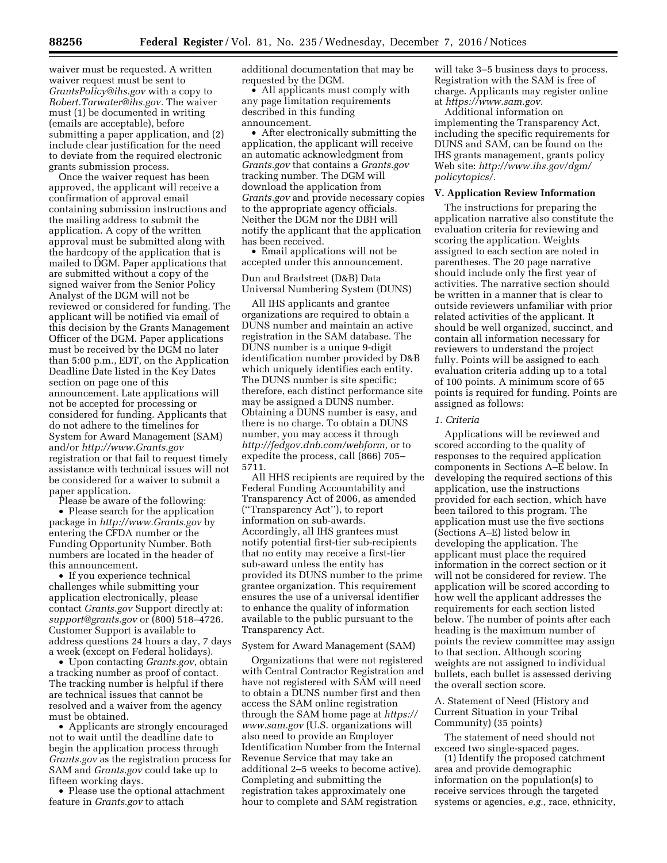waiver must be requested. A written waiver request must be sent to *[GrantsPolicy@ihs.gov](mailto:GrantsPolicy@ihs.gov)* with a copy to *[Robert.Tarwater@ihs.gov.](mailto:Robert.Tarwater@ihs.gov)* The waiver must (1) be documented in writing (emails are acceptable), before submitting a paper application, and (2) include clear justification for the need to deviate from the required electronic grants submission process.

Once the waiver request has been approved, the applicant will receive a confirmation of approval email containing submission instructions and the mailing address to submit the application. A copy of the written approval must be submitted along with the hardcopy of the application that is mailed to DGM. Paper applications that are submitted without a copy of the signed waiver from the Senior Policy Analyst of the DGM will not be reviewed or considered for funding. The applicant will be notified via email of this decision by the Grants Management Officer of the DGM. Paper applications must be received by the DGM no later than 5:00 p.m., EDT, on the Application Deadline Date listed in the Key Dates section on page one of this announcement. Late applications will not be accepted for processing or considered for funding. Applicants that do not adhere to the timelines for System for Award Management (SAM) and/or *<http://www.Grants.gov>* registration or that fail to request timely assistance with technical issues will not be considered for a waiver to submit a paper application.

Please be aware of the following:

• Please search for the application package in *<http://www.Grants.gov>* by entering the CFDA number or the Funding Opportunity Number. Both numbers are located in the header of this announcement.

• If you experience technical challenges while submitting your application electronically, please contact *Grants.gov* Support directly at: *[support@grants.gov](mailto:support@grants.gov)* or (800) 518–4726. Customer Support is available to address questions 24 hours a day, 7 days a week (except on Federal holidays).

• Upon contacting *Grants.gov*, obtain a tracking number as proof of contact. The tracking number is helpful if there are technical issues that cannot be resolved and a waiver from the agency must be obtained.

• Applicants are strongly encouraged not to wait until the deadline date to begin the application process through *Grants.gov* as the registration process for SAM and *Grants.gov* could take up to fifteen working days.

• Please use the optional attachment feature in *Grants.gov* to attach

additional documentation that may be requested by the DGM.

• All applicants must comply with any page limitation requirements described in this funding announcement.

• After electronically submitting the application, the applicant will receive an automatic acknowledgment from *Grants.gov* that contains a *Grants.gov*  tracking number. The DGM will download the application from *Grants.gov* and provide necessary copies to the appropriate agency officials. Neither the DGM nor the DBH will notify the applicant that the application has been received.

• Email applications will not be accepted under this announcement.

Dun and Bradstreet (D&B) Data Universal Numbering System (DUNS)

All IHS applicants and grantee organizations are required to obtain a DUNS number and maintain an active registration in the SAM database. The DUNS number is a unique 9-digit identification number provided by D&B which uniquely identifies each entity. The DUNS number is site specific; therefore, each distinct performance site may be assigned a DUNS number. Obtaining a DUNS number is easy, and there is no charge. To obtain a DUNS number, you may access it through *[http://fedgov.dnb.com/webform,](http://fedgov.dnb.com/webform)* or to expedite the process, call (866) 705– 5711.

All HHS recipients are required by the Federal Funding Accountability and Transparency Act of 2006, as amended (''Transparency Act''), to report information on sub-awards. Accordingly, all IHS grantees must notify potential first-tier sub-recipients that no entity may receive a first-tier sub-award unless the entity has provided its DUNS number to the prime grantee organization. This requirement ensures the use of a universal identifier to enhance the quality of information available to the public pursuant to the Transparency Act.

#### System for Award Management (SAM)

Organizations that were not registered with Central Contractor Registration and have not registered with SAM will need to obtain a DUNS number first and then access the SAM online registration through the SAM home page at *[https://](https://www.sam.gov) [www.sam.gov](https://www.sam.gov)* (U.S. organizations will also need to provide an Employer Identification Number from the Internal Revenue Service that may take an additional 2–5 weeks to become active). Completing and submitting the registration takes approximately one hour to complete and SAM registration

will take 3–5 business days to process. Registration with the SAM is free of charge. Applicants may register online at *[https://www.sam.gov.](https://www.sam.gov)* 

Additional information on implementing the Transparency Act, including the specific requirements for DUNS and SAM, can be found on the IHS grants management, grants policy Web site: *[http://www.ihs.gov/dgm/](http://www.ihs.gov/dgm/policytopics/)  [policytopics/.](http://www.ihs.gov/dgm/policytopics/)* 

#### **V. Application Review Information**

The instructions for preparing the application narrative also constitute the evaluation criteria for reviewing and scoring the application. Weights assigned to each section are noted in parentheses. The 20 page narrative should include only the first year of activities. The narrative section should be written in a manner that is clear to outside reviewers unfamiliar with prior related activities of the applicant. It should be well organized, succinct, and contain all information necessary for reviewers to understand the project fully. Points will be assigned to each evaluation criteria adding up to a total of 100 points. A minimum score of 65 points is required for funding. Points are assigned as follows:

### *1. Criteria*

Applications will be reviewed and scored according to the quality of responses to the required application components in Sections A–E below. In developing the required sections of this application, use the instructions provided for each section, which have been tailored to this program. The application must use the five sections (Sections A–E) listed below in developing the application. The applicant must place the required information in the correct section or it will not be considered for review. The application will be scored according to how well the applicant addresses the requirements for each section listed below. The number of points after each heading is the maximum number of points the review committee may assign to that section. Although scoring weights are not assigned to individual bullets, each bullet is assessed deriving the overall section score.

A. Statement of Need (History and Current Situation in your Tribal Community) (35 points)

The statement of need should not exceed two single-spaced pages.

(1) Identify the proposed catchment area and provide demographic information on the population(s) to receive services through the targeted systems or agencies, *e.g.,* race, ethnicity,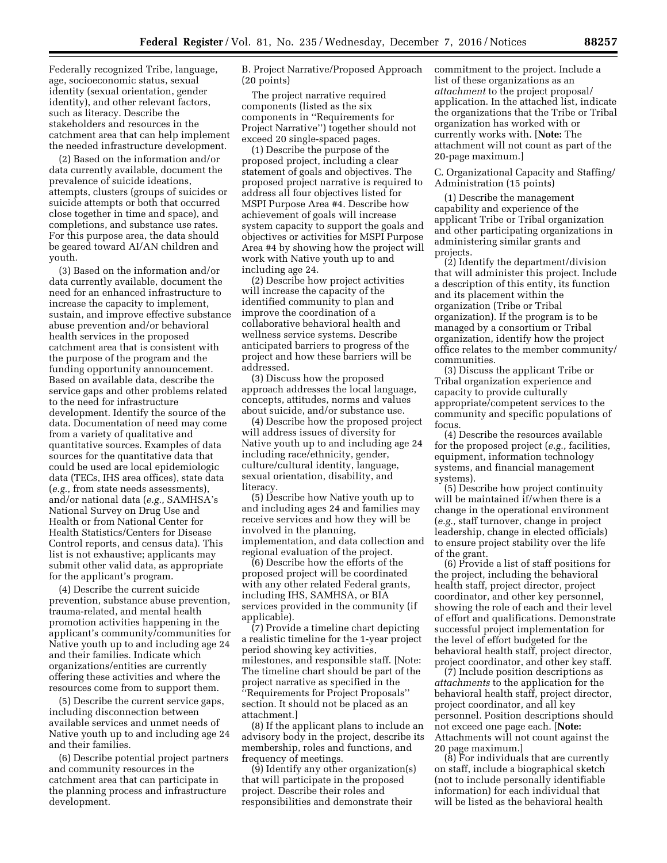Federally recognized Tribe, language, age, socioeconomic status, sexual identity (sexual orientation, gender identity), and other relevant factors, such as literacy. Describe the stakeholders and resources in the catchment area that can help implement the needed infrastructure development.

(2) Based on the information and/or data currently available, document the prevalence of suicide ideations, attempts, clusters (groups of suicides or suicide attempts or both that occurred close together in time and space), and completions, and substance use rates. For this purpose area, the data should be geared toward AI/AN children and youth.

(3) Based on the information and/or data currently available, document the need for an enhanced infrastructure to increase the capacity to implement, sustain, and improve effective substance abuse prevention and/or behavioral health services in the proposed catchment area that is consistent with the purpose of the program and the funding opportunity announcement. Based on available data, describe the service gaps and other problems related to the need for infrastructure development. Identify the source of the data. Documentation of need may come from a variety of qualitative and quantitative sources. Examples of data sources for the quantitative data that could be used are local epidemiologic data (TECs, IHS area offices), state data (*e.g.,* from state needs assessments), and/or national data (*e.g.,* SAMHSA's National Survey on Drug Use and Health or from National Center for Health Statistics/Centers for Disease Control reports, and census data). This list is not exhaustive; applicants may submit other valid data, as appropriate for the applicant's program.

(4) Describe the current suicide prevention, substance abuse prevention, trauma-related, and mental health promotion activities happening in the applicant's community/communities for Native youth up to and including age 24 and their families. Indicate which organizations/entities are currently offering these activities and where the resources come from to support them.

(5) Describe the current service gaps, including disconnection between available services and unmet needs of Native youth up to and including age 24 and their families.

(6) Describe potential project partners and community resources in the catchment area that can participate in the planning process and infrastructure development.

B. Project Narrative/Proposed Approach (20 points)

The project narrative required components (listed as the six components in ''Requirements for Project Narrative'') together should not exceed 20 single-spaced pages.

(1) Describe the purpose of the proposed project, including a clear statement of goals and objectives. The proposed project narrative is required to address all four objectives listed for MSPI Purpose Area #4. Describe how achievement of goals will increase system capacity to support the goals and objectives or activities for MSPI Purpose Area #4 by showing how the project will work with Native youth up to and including age 24.

(2) Describe how project activities will increase the capacity of the identified community to plan and improve the coordination of a collaborative behavioral health and wellness service systems. Describe anticipated barriers to progress of the project and how these barriers will be addressed.

(3) Discuss how the proposed approach addresses the local language, concepts, attitudes, norms and values about suicide, and/or substance use.

(4) Describe how the proposed project will address issues of diversity for Native youth up to and including age 24 including race/ethnicity, gender, culture/cultural identity, language, sexual orientation, disability, and literacy.

(5) Describe how Native youth up to and including ages 24 and families may receive services and how they will be involved in the planning, implementation, and data collection and regional evaluation of the project.

(6) Describe how the efforts of the proposed project will be coordinated with any other related Federal grants, including IHS, SAMHSA, or BIA services provided in the community (if applicable).

(7) Provide a timeline chart depicting a realistic timeline for the 1-year project period showing key activities, milestones, and responsible staff. [Note: The timeline chart should be part of the project narrative as specified in the ''Requirements for Project Proposals'' section. It should not be placed as an attachment.]

(8) If the applicant plans to include an advisory body in the project, describe its membership, roles and functions, and frequency of meetings.

(9) Identify any other organization(s) that will participate in the proposed project. Describe their roles and responsibilities and demonstrate their

commitment to the project. Include a list of these organizations as an *attachment* to the project proposal/ application. In the attached list, indicate the organizations that the Tribe or Tribal organization has worked with or currently works with. [**Note:** The attachment will not count as part of the 20-page maximum.]

C. Organizational Capacity and Staffing/ Administration (15 points)

(1) Describe the management capability and experience of the applicant Tribe or Tribal organization and other participating organizations in administering similar grants and projects.

(2) Identify the department/division that will administer this project. Include a description of this entity, its function and its placement within the organization (Tribe or Tribal organization). If the program is to be managed by a consortium or Tribal organization, identify how the project office relates to the member community/ communities.

(3) Discuss the applicant Tribe or Tribal organization experience and capacity to provide culturally appropriate/competent services to the community and specific populations of focus.

(4) Describe the resources available for the proposed project (*e.g.,* facilities, equipment, information technology systems, and financial management systems).

(5) Describe how project continuity will be maintained if/when there is a change in the operational environment (*e.g.,* staff turnover, change in project leadership, change in elected officials) to ensure project stability over the life of the grant.

(6) Provide a list of staff positions for the project, including the behavioral health staff, project director, project coordinator, and other key personnel, showing the role of each and their level of effort and qualifications. Demonstrate successful project implementation for the level of effort budgeted for the behavioral health staff, project director, project coordinator, and other key staff.

(7) Include position descriptions as *attachments* to the application for the behavioral health staff, project director, project coordinator, and all key personnel. Position descriptions should not exceed one page each. [**Note:**  Attachments will not count against the 20 page maximum.]

(8) For individuals that are currently on staff, include a biographical sketch (not to include personally identifiable information) for each individual that will be listed as the behavioral health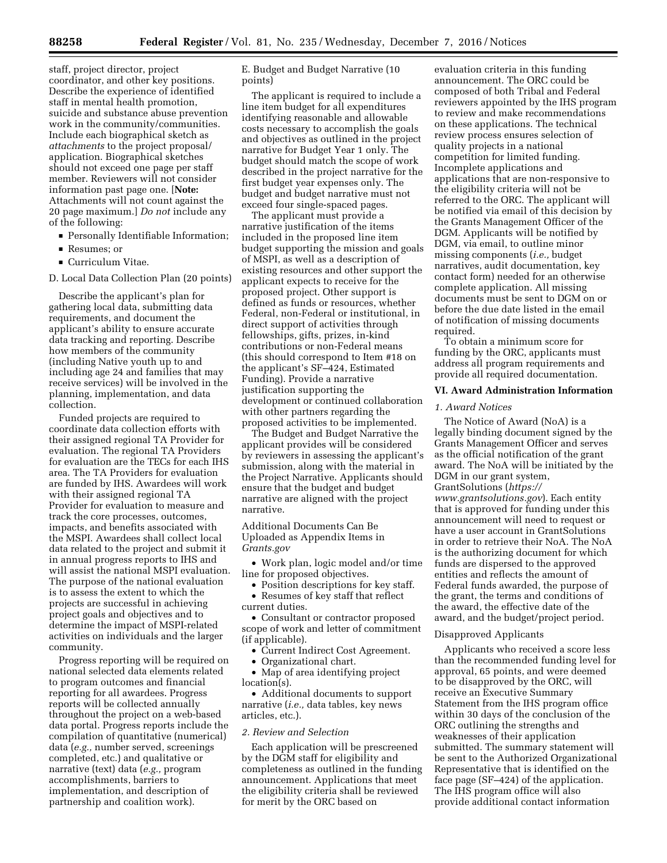staff, project director, project coordinator, and other key positions. Describe the experience of identified staff in mental health promotion, suicide and substance abuse prevention work in the community/communities. Include each biographical sketch as *attachments* to the project proposal/ application. Biographical sketches should not exceed one page per staff member. Reviewers will not consider information past page one. [**Note:**  Attachments will not count against the 20 page maximum.] *Do not* include any of the following:

- **Personally Identifiable Information;**
- Resumes; or
- **Curriculum Vitae.**

D. Local Data Collection Plan (20 points)

Describe the applicant's plan for gathering local data, submitting data requirements, and document the applicant's ability to ensure accurate data tracking and reporting. Describe how members of the community (including Native youth up to and including age 24 and families that may receive services) will be involved in the planning, implementation, and data collection.

Funded projects are required to coordinate data collection efforts with their assigned regional TA Provider for evaluation. The regional TA Providers for evaluation are the TECs for each IHS area. The TA Providers for evaluation are funded by IHS. Awardees will work with their assigned regional TA Provider for evaluation to measure and track the core processes, outcomes, impacts, and benefits associated with the MSPI. Awardees shall collect local data related to the project and submit it in annual progress reports to IHS and will assist the national MSPI evaluation. The purpose of the national evaluation is to assess the extent to which the projects are successful in achieving project goals and objectives and to determine the impact of MSPI-related activities on individuals and the larger community.

Progress reporting will be required on national selected data elements related to program outcomes and financial reporting for all awardees. Progress reports will be collected annually throughout the project on a web-based data portal. Progress reports include the compilation of quantitative (numerical) data (*e.g.,* number served, screenings completed, etc.) and qualitative or narrative (text) data (*e.g.,* program accomplishments, barriers to implementation, and description of partnership and coalition work).

E. Budget and Budget Narrative (10 points)

The applicant is required to include a line item budget for all expenditures identifying reasonable and allowable costs necessary to accomplish the goals and objectives as outlined in the project narrative for Budget Year 1 only. The budget should match the scope of work described in the project narrative for the first budget year expenses only. The budget and budget narrative must not exceed four single-spaced pages.

The applicant must provide a narrative justification of the items included in the proposed line item budget supporting the mission and goals of MSPI, as well as a description of existing resources and other support the applicant expects to receive for the proposed project. Other support is defined as funds or resources, whether Federal, non-Federal or institutional, in direct support of activities through fellowships, gifts, prizes, in-kind contributions or non-Federal means (this should correspond to Item #18 on the applicant's SF–424, Estimated Funding). Provide a narrative justification supporting the development or continued collaboration with other partners regarding the proposed activities to be implemented.

The Budget and Budget Narrative the applicant provides will be considered by reviewers in assessing the applicant's submission, along with the material in the Project Narrative. Applicants should ensure that the budget and budget narrative are aligned with the project narrative.

Additional Documents Can Be Uploaded as Appendix Items in *Grants.gov* 

• Work plan, logic model and/or time line for proposed objectives.

• Position descriptions for key staff. • Resumes of key staff that reflect

current duties.

• Consultant or contractor proposed scope of work and letter of commitment (if applicable).

- Current Indirect Cost Agreement.
- Organizational chart.
- Map of area identifying project
- location(s).

• Additional documents to support narrative (*i.e.,* data tables, key news articles, etc.).

#### *2. Review and Selection*

Each application will be prescreened by the DGM staff for eligibility and completeness as outlined in the funding announcement. Applications that meet the eligibility criteria shall be reviewed for merit by the ORC based on

evaluation criteria in this funding announcement. The ORC could be composed of both Tribal and Federal reviewers appointed by the IHS program to review and make recommendations on these applications. The technical review process ensures selection of quality projects in a national competition for limited funding. Incomplete applications and applications that are non-responsive to the eligibility criteria will not be referred to the ORC. The applicant will be notified via email of this decision by the Grants Management Officer of the DGM. Applicants will be notified by DGM, via email, to outline minor missing components (*i.e.,* budget narratives, audit documentation, key contact form) needed for an otherwise complete application. All missing documents must be sent to DGM on or before the due date listed in the email of notification of missing documents required.

To obtain a minimum score for funding by the ORC, applicants must address all program requirements and provide all required documentation.

## **VI. Award Administration Information**

#### *1. Award Notices*

The Notice of Award (NoA) is a legally binding document signed by the Grants Management Officer and serves as the official notification of the grant award. The NoA will be initiated by the DGM in our grant system, GrantSolutions (*[https://](https://www.grantsolutions.gov) [www.grantsolutions.gov](https://www.grantsolutions.gov)*). Each entity that is approved for funding under this announcement will need to request or have a user account in GrantSolutions in order to retrieve their NoA. The NoA is the authorizing document for which funds are dispersed to the approved entities and reflects the amount of Federal funds awarded, the purpose of the grant, the terms and conditions of the award, the effective date of the award, and the budget/project period.

# Disapproved Applicants

Applicants who received a score less than the recommended funding level for approval, 65 points, and were deemed to be disapproved by the ORC, will receive an Executive Summary Statement from the IHS program office within 30 days of the conclusion of the ORC outlining the strengths and weaknesses of their application submitted. The summary statement will be sent to the Authorized Organizational Representative that is identified on the face page (SF–424) of the application. The IHS program office will also provide additional contact information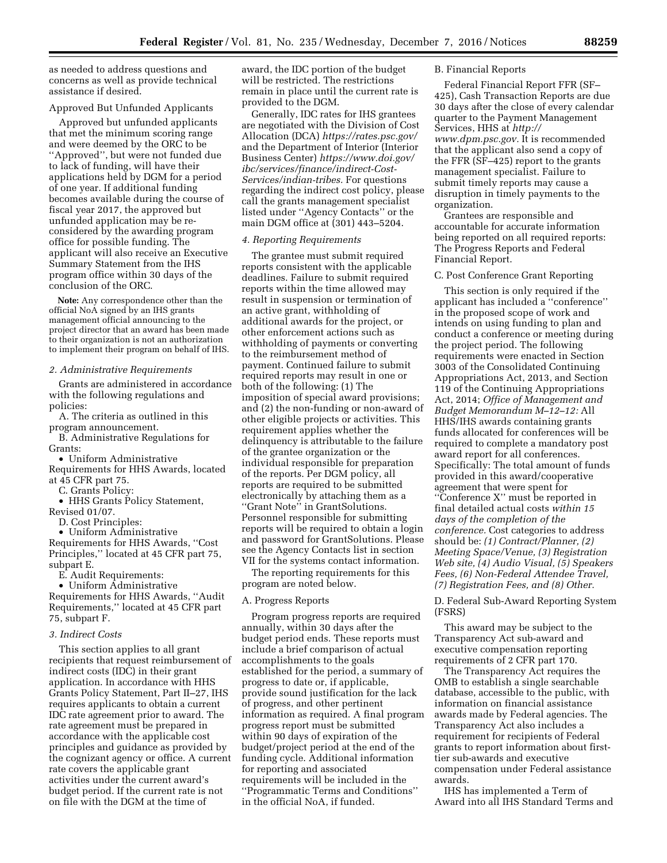as needed to address questions and concerns as well as provide technical assistance if desired.

#### Approved But Unfunded Applicants

Approved but unfunded applicants that met the minimum scoring range and were deemed by the ORC to be ''Approved'', but were not funded due to lack of funding, will have their applications held by DGM for a period of one year. If additional funding becomes available during the course of fiscal year 2017, the approved but unfunded application may be reconsidered by the awarding program office for possible funding. The applicant will also receive an Executive Summary Statement from the IHS program office within 30 days of the conclusion of the ORC.

**Note:** Any correspondence other than the official NoA signed by an IHS grants management official announcing to the project director that an award has been made to their organization is not an authorization to implement their program on behalf of IHS.

#### *2. Administrative Requirements*

Grants are administered in accordance with the following regulations and policies:

A. The criteria as outlined in this program announcement.

B. Administrative Regulations for Grants:

• Uniform Administrative

Requirements for HHS Awards, located at 45 CFR part 75.

C. Grants Policy:

• HHS Grants Policy Statement, Revised 01/07.

D. Cost Principles:

• Uniform Administrative Requirements for HHS Awards, ''Cost Principles,'' located at 45 CFR part 75, subpart E.

E. Audit Requirements:

• Uniform Administrative Requirements for HHS Awards, ''Audit Requirements,'' located at 45 CFR part 75, subpart F.

#### *3. Indirect Costs*

This section applies to all grant recipients that request reimbursement of indirect costs (IDC) in their grant application. In accordance with HHS Grants Policy Statement, Part II–27, IHS requires applicants to obtain a current IDC rate agreement prior to award. The rate agreement must be prepared in accordance with the applicable cost principles and guidance as provided by the cognizant agency or office. A current rate covers the applicable grant activities under the current award's budget period. If the current rate is not on file with the DGM at the time of

award, the IDC portion of the budget will be restricted. The restrictions remain in place until the current rate is provided to the DGM.

Generally, IDC rates for IHS grantees are negotiated with the Division of Cost Allocation (DCA) *<https://rates.psc.gov/>*  and the Department of Interior (Interior Business Center) *[https://www.doi.gov/](https://www.doi.gov/ibc/services/finance/indirect-Cost-Services/indian-tribes) [ibc/services/finance/indirect-Cost-](https://www.doi.gov/ibc/services/finance/indirect-Cost-Services/indian-tribes)[Services/indian-tribes.](https://www.doi.gov/ibc/services/finance/indirect-Cost-Services/indian-tribes)* For questions regarding the indirect cost policy, please call the grants management specialist listed under ''Agency Contacts'' or the main DGM office at (301) 443–5204.

## *4. Reporting Requirements*

The grantee must submit required reports consistent with the applicable deadlines. Failure to submit required reports within the time allowed may result in suspension or termination of an active grant, withholding of additional awards for the project, or other enforcement actions such as withholding of payments or converting to the reimbursement method of payment. Continued failure to submit required reports may result in one or both of the following: (1) The imposition of special award provisions; and (2) the non-funding or non-award of other eligible projects or activities. This requirement applies whether the delinquency is attributable to the failure of the grantee organization or the individual responsible for preparation of the reports. Per DGM policy, all reports are required to be submitted electronically by attaching them as a ''Grant Note'' in GrantSolutions. Personnel responsible for submitting reports will be required to obtain a login and password for GrantSolutions. Please see the Agency Contacts list in section VII for the systems contact information.

The reporting requirements for this program are noted below.

## A. Progress Reports

Program progress reports are required annually, within 30 days after the budget period ends. These reports must include a brief comparison of actual accomplishments to the goals established for the period, a summary of progress to date or, if applicable, provide sound justification for the lack of progress, and other pertinent information as required. A final program progress report must be submitted within 90 days of expiration of the budget/project period at the end of the funding cycle. Additional information for reporting and associated requirements will be included in the ''Programmatic Terms and Conditions'' in the official NoA, if funded.

### B. Financial Reports

Federal Financial Report FFR (SF– 425), Cash Transaction Reports are due 30 days after the close of every calendar quarter to the Payment Management Services, HHS at *[http://](http://www.dpm.psc.gov) [www.dpm.psc.gov.](http://www.dpm.psc.gov)* It is recommended that the applicant also send a copy of the FFR (SF–425) report to the grants management specialist. Failure to submit timely reports may cause a disruption in timely payments to the organization.

Grantees are responsible and accountable for accurate information being reported on all required reports: The Progress Reports and Federal Financial Report.

### C. Post Conference Grant Reporting

This section is only required if the applicant has included a ''conference'' in the proposed scope of work and intends on using funding to plan and conduct a conference or meeting during the project period. The following requirements were enacted in Section 3003 of the Consolidated Continuing Appropriations Act, 2013, and Section 119 of the Continuing Appropriations Act, 2014; *Office of Management and Budget Memorandum M–12–12:* All HHS/IHS awards containing grants funds allocated for conferences will be required to complete a mandatory post award report for all conferences. Specifically: The total amount of funds provided in this award/cooperative agreement that were spent for ''Conference X'' must be reported in final detailed actual costs *within 15 days of the completion of the conference.* Cost categories to address should be: *(1) Contract/Planner, (2) Meeting Space/Venue, (3) Registration Web site, (4) Audio Visual, (5) Speakers Fees, (6) Non-Federal Attendee Travel, (7) Registration Fees, and (8) Other.* 

D. Federal Sub-Award Reporting System (FSRS)

This award may be subject to the Transparency Act sub-award and executive compensation reporting requirements of 2 CFR part 170.

The Transparency Act requires the OMB to establish a single searchable database, accessible to the public, with information on financial assistance awards made by Federal agencies. The Transparency Act also includes a requirement for recipients of Federal grants to report information about firsttier sub-awards and executive compensation under Federal assistance awards.

IHS has implemented a Term of Award into all IHS Standard Terms and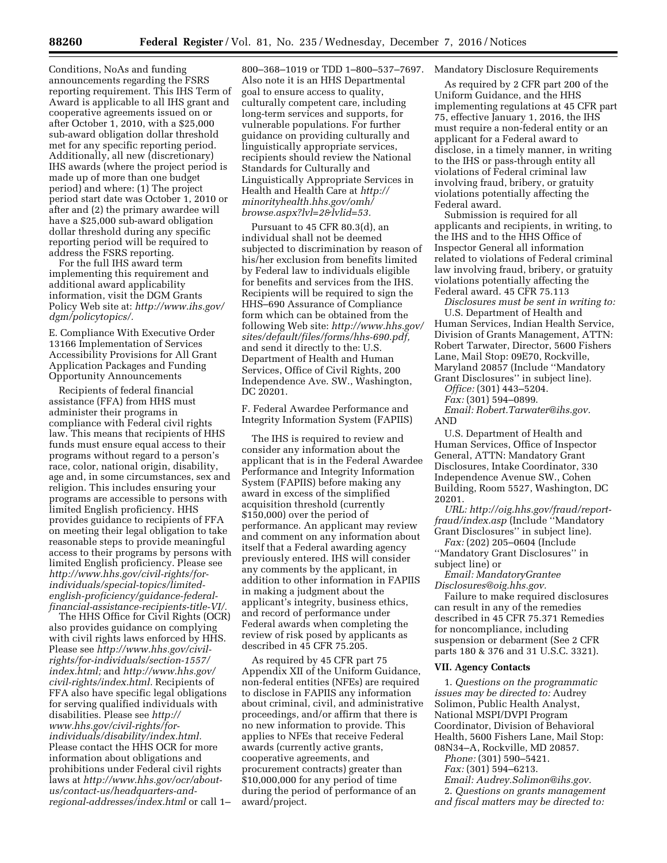Conditions, NoAs and funding announcements regarding the FSRS reporting requirement. This IHS Term of Award is applicable to all IHS grant and cooperative agreements issued on or after October 1, 2010, with a \$25,000 sub-award obligation dollar threshold met for any specific reporting period. Additionally, all new (discretionary) IHS awards (where the project period is made up of more than one budget period) and where: (1) The project period start date was October 1, 2010 or after and (2) the primary awardee will have a \$25,000 sub-award obligation dollar threshold during any specific

reporting period will be required to address the FSRS reporting. For the full IHS award term implementing this requirement and additional award applicability information, visit the DGM Grants Policy Web site at: *[http://www.ihs.gov/](http://www.ihs.gov/dgm/policytopics/)* 

E. Compliance With Executive Order 13166 Implementation of Services Accessibility Provisions for All Grant Application Packages and Funding Opportunity Announcements

*[dgm/policytopics/.](http://www.ihs.gov/dgm/policytopics/)* 

Recipients of federal financial assistance (FFA) from HHS must administer their programs in compliance with Federal civil rights law. This means that recipients of HHS funds must ensure equal access to their programs without regard to a person's race, color, national origin, disability, age and, in some circumstances, sex and religion. This includes ensuring your programs are accessible to persons with limited English proficiency. HHS provides guidance to recipients of FFA on meeting their legal obligation to take reasonable steps to provide meaningful access to their programs by persons with limited English proficiency. Please see *http://www.hhs.gov/civil-rights/forindividuals/special-topics/limitedenglish-proficiency/guidance-federal[financial-assistance-recipients-title-VI/.](http://www.hhs.gov/civil-rights/for-individuals/special-topics/limited-english-proficiency/guidance-federal-financial-assistance-recipients-title-VI/)* 

The HHS Office for Civil Rights (OCR) also provides guidance on complying with civil rights laws enforced by HHS. Please see *[http://www.hhs.gov/civil](http://www.hhs.gov/civil-rights/for-individuals/section-1557/index.html)[rights/for-individuals/section-1557/](http://www.hhs.gov/civil-rights/for-individuals/section-1557/index.html)  [index.html;](http://www.hhs.gov/civil-rights/for-individuals/section-1557/index.html)* and *[http://www.hhs.gov/](http://www.hhs.gov/civil-rights/index.html)  [civil-rights/index.html.](http://www.hhs.gov/civil-rights/index.html)* Recipients of FFA also have specific legal obligations for serving qualified individuals with disabilities. Please see *[http://](http://www.hhs.gov/civil-rights/for-individuals/disability/index.html) [www.hhs.gov/civil-rights/for](http://www.hhs.gov/civil-rights/for-individuals/disability/index.html)[individuals/disability/index.html.](http://www.hhs.gov/civil-rights/for-individuals/disability/index.html)*  Please contact the HHS OCR for more information about obligations and prohibitions under Federal civil rights laws at *[http://www.hhs.gov/ocr/about](http://www.hhs.gov/ocr/about-us/contact-us/headquarters-and-regional-addresses/index.html)[us/contact-us/headquarters-and](http://www.hhs.gov/ocr/about-us/contact-us/headquarters-and-regional-addresses/index.html)[regional-addresses/index.html](http://www.hhs.gov/ocr/about-us/contact-us/headquarters-and-regional-addresses/index.html)* or call 1–

800–368–1019 or TDD 1–800–537–7697. Also note it is an HHS Departmental goal to ensure access to quality, culturally competent care, including long-term services and supports, for vulnerable populations. For further guidance on providing culturally and linguistically appropriate services, recipients should review the National Standards for Culturally and Linguistically Appropriate Services in Health and Health Care at *[http://](http://minorityhealth.hhs.gov/omh/browse.aspx?lvl=2&lvlid=53) [minorityhealth.hhs.gov/omh/](http://minorityhealth.hhs.gov/omh/browse.aspx?lvl=2&lvlid=53) [browse.aspx?lvl=2&lvlid=53.](http://minorityhealth.hhs.gov/omh/browse.aspx?lvl=2&lvlid=53)* 

Pursuant to 45 CFR 80.3(d), an individual shall not be deemed subjected to discrimination by reason of his/her exclusion from benefits limited by Federal law to individuals eligible for benefits and services from the IHS. Recipients will be required to sign the HHS–690 Assurance of Compliance form which can be obtained from the following Web site: *[http://www.hhs.gov/](http://www.hhs.gov/sites/default/files/forms/hhs-690.pdf) [sites/default/files/forms/hhs-690.pdf,](http://www.hhs.gov/sites/default/files/forms/hhs-690.pdf)*  and send it directly to the: U.S. Department of Health and Human Services, Office of Civil Rights, 200 Independence Ave. SW., Washington, DC 20201.

F. Federal Awardee Performance and Integrity Information System (FAPIIS)

The IHS is required to review and consider any information about the applicant that is in the Federal Awardee Performance and Integrity Information System (FAPIIS) before making any award in excess of the simplified acquisition threshold (currently \$150,000) over the period of performance. An applicant may review and comment on any information about itself that a Federal awarding agency previously entered. IHS will consider any comments by the applicant, in addition to other information in FAPIIS in making a judgment about the applicant's integrity, business ethics, and record of performance under Federal awards when completing the review of risk posed by applicants as described in 45 CFR 75.205.

As required by 45 CFR part 75 Appendix XII of the Uniform Guidance, non-federal entities (NFEs) are required to disclose in FAPIIS any information about criminal, civil, and administrative proceedings, and/or affirm that there is no new information to provide. This applies to NFEs that receive Federal awards (currently active grants, cooperative agreements, and procurement contracts) greater than \$10,000,000 for any period of time during the period of performance of an award/project.

Mandatory Disclosure Requirements

As required by 2 CFR part 200 of the Uniform Guidance, and the HHS implementing regulations at 45 CFR part 75, effective January 1, 2016, the IHS must require a non-federal entity or an applicant for a Federal award to disclose, in a timely manner, in writing to the IHS or pass-through entity all violations of Federal criminal law involving fraud, bribery, or gratuity violations potentially affecting the Federal award.

Submission is required for all applicants and recipients, in writing, to the IHS and to the HHS Office of Inspector General all information related to violations of Federal criminal law involving fraud, bribery, or gratuity violations potentially affecting the Federal award. 45 CFR 75.113

*Disclosures must be sent in writing to:*  U.S. Department of Health and Human Services, Indian Health Service, Division of Grants Management, ATTN: Robert Tarwater, Director, 5600 Fishers Lane, Mail Stop: 09E70, Rockville, Maryland 20857 (Include ''Mandatory Grant Disclosures'' in subject line).

*Office:* (301) 443–5204.

*Fax:* (301) 594–0899. *Email: [Robert.Tarwater@ihs.gov.](mailto:Robert.Tarwater@ihs.gov)*  AND

U.S. Department of Health and Human Services, Office of Inspector General, ATTN: Mandatory Grant Disclosures, Intake Coordinator, 330 Independence Avenue SW., Cohen Building, Room 5527, Washington, DC 20201.

*URL: [http://oig.hhs.gov/fraud/report](http://oig.hhs.gov/fraud/report-fraud/index.asp)[fraud/index.asp](http://oig.hhs.gov/fraud/report-fraud/index.asp)* (Include ''Mandatory Grant Disclosures'' in subject line).

*Fax:* (202) 205–0604 (Include ''Mandatory Grant Disclosures'' in subject line) or

*Email: [MandatoryGrantee](mailto:MandatoryGranteeDisclosures@oig.hhs.gov) [Disclosures@oig.hhs.gov.](mailto:MandatoryGranteeDisclosures@oig.hhs.gov)* 

Failure to make required disclosures can result in any of the remedies described in 45 CFR 75.371 Remedies for noncompliance, including suspension or debarment (See 2 CFR parts 180 & 376 and 31 U.S.C. 3321).

#### **VII. Agency Contacts**

1. *Questions on the programmatic issues may be directed to:* Audrey Solimon, Public Health Analyst, National MSPI/DVPI Program Coordinator, Division of Behavioral Health, 5600 Fishers Lane, Mail Stop: 08N34–A, Rockville, MD 20857. *Phone:* (301) 590–5421.

*Fax:* (301) 594–6213.

*Email: [Audrey.Solimon@ihs.gov.](mailto:Audrey.Solimon@ihs.gov)* 

2. *Questions on grants management and fiscal matters may be directed to:*